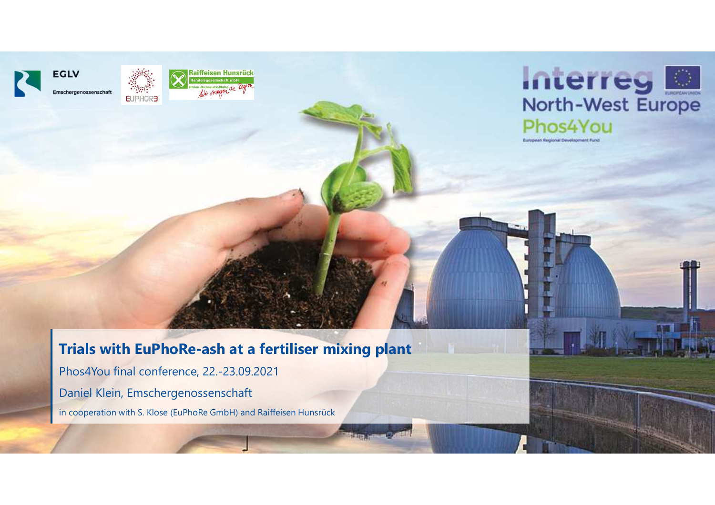



#### **Trials with EuPhoRe-ash at a fertiliser mixing <sup>p</sup>lant**

Phos4You final conference, 22.-23.09.2021Daniel Klein, Emschergenossenschaft in cooperation with S. Klose (EuPhoRe GmbH) and Raiffeisen Hunsrück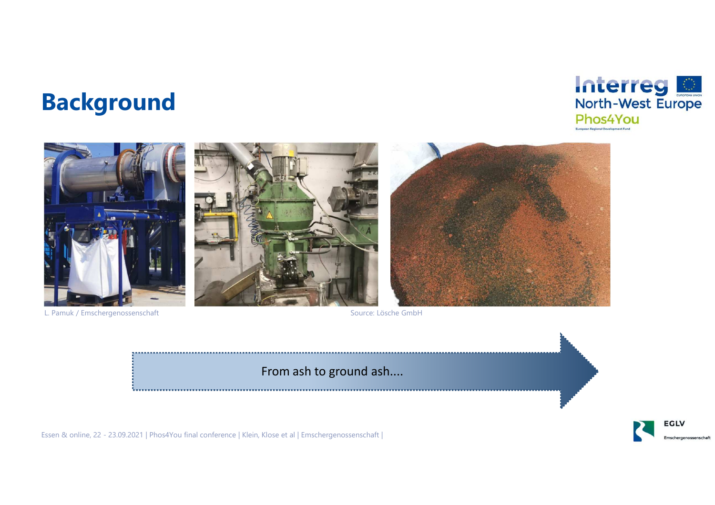### **Background**









L. Pamuk / Emschergenossenschaft

Source: Lösche GmbH

From ash to ground ash....

Essen & online, 22 - 23.09.2021 | Phos4You final conference | Klein, Klose et al | Emschergenossenschaft |

**EGLV**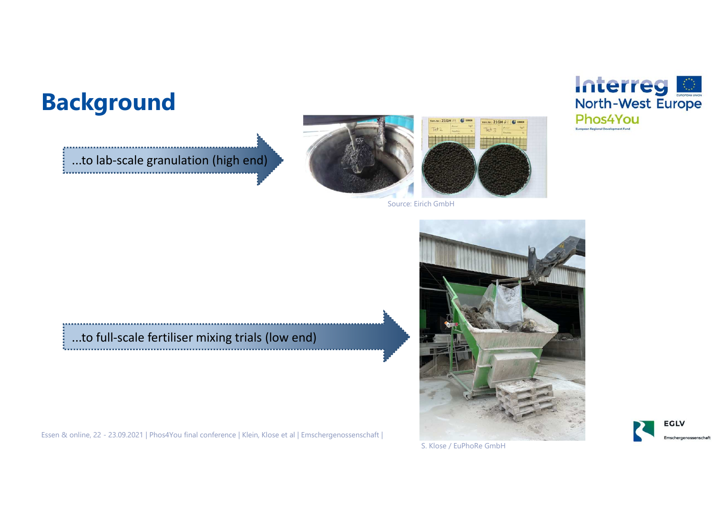### **Background**

...to lab-scale granulation (high end)





Source: Eirich GmbH

### ...to full-scale fertiliser mixing trials (low end)

Essen & online, 22 - 23.09.2021 | Phos4You final conference | Klein, Klose et al | Emschergenossenschaft |







S. Klose / EuPhoRe GmbH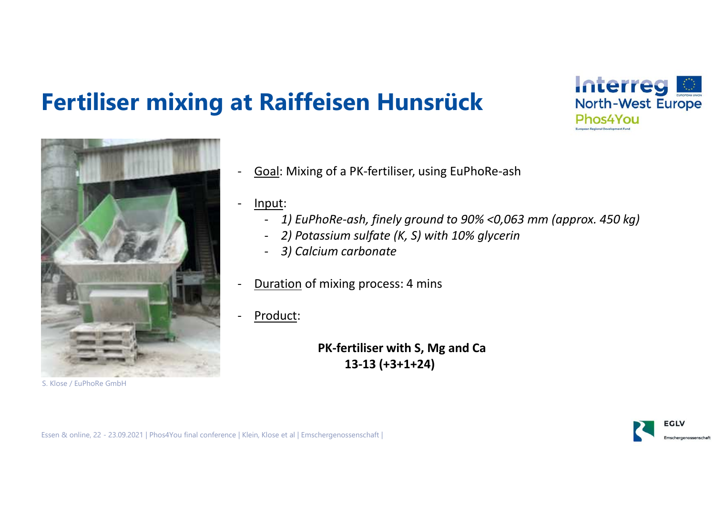## **Fertiliser mixing at Raiffeisen Hunsrück**





S. Klose / EuPhoRe GmbH

- -Goal: Mixing of a PK-fertiliser, using EuPhoRe-ash
- Input:
	- *1) EuPhoRe-ash, finely ground to 90% <0,063 mm (approx. 450 kg)*
	- *2) Potassium sulfate (K, S) with 10% glycerin*
	- -*3) Calcium carbonate*
- -Duration of mixing process: 4 mins
- Product:

**PK-fertiliser with S, Mg and Ca 13-13 (+3+1+24)**